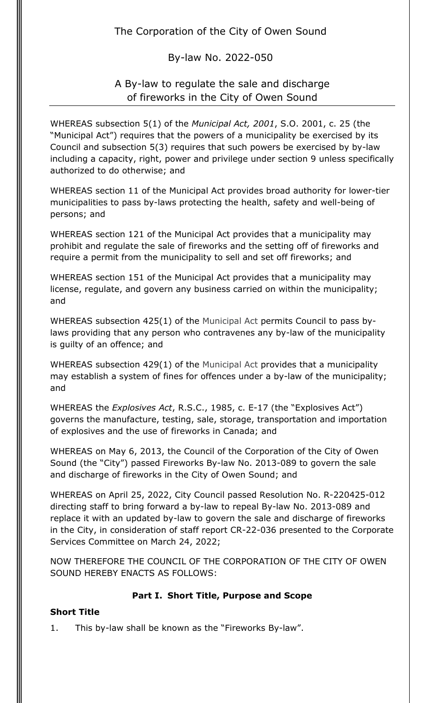The Corporation of the City of Owen Sound

By-law No. 2022-050

# A By-law to regulate the sale and discharge of fireworks in the City of Owen Sound

WHEREAS subsection 5(1) of the *Municipal Act, 2001*, S.O. 2001, c. 25 (the "Municipal Act") requires that the powers of a municipality be exercised by its Council and subsection 5(3) requires that such powers be exercised by by-law including a capacity, right, power and privilege under section 9 unless specifically authorized to do otherwise; and

WHEREAS section 11 of the Municipal Act provides broad authority for lower-tier municipalities to pass by-laws protecting the health, safety and well-being of persons; and

WHEREAS section 121 of the Municipal Act provides that a municipality may prohibit and regulate the sale of fireworks and the setting off of fireworks and require a permit from the municipality to sell and set off fireworks; and

WHEREAS section 151 of the Municipal Act provides that a municipality may license, regulate, and govern any business carried on within the municipality; and

WHEREAS subsection 425(1) of the Municipal Act permits Council to pass bylaws providing that any person who contravenes any by-law of the municipality is guilty of an offence; and

WHEREAS subsection 429(1) of the Municipal Act provides that a municipality may establish a system of fines for offences under a by-law of the municipality; and

WHEREAS the *Explosives Act*, R.S.C., 1985, c. E-17 (the "Explosives Act") governs the manufacture, testing, sale, storage, transportation and importation of explosives and the use of fireworks in Canada; and

WHEREAS on May 6, 2013, the Council of the Corporation of the City of Owen Sound (the "City") passed Fireworks By-law No. 2013-089 to govern the sale and discharge of fireworks in the City of Owen Sound; and

WHEREAS on April 25, 2022, City Council passed Resolution No. R-220425-012 directing staff to bring forward a by-law to repeal By-law No. 2013-089 and replace it with an updated by-law to govern the sale and discharge of fireworks in the City, in consideration of staff report CR-22-036 presented to the Corporate Services Committee on March 24, 2022;

NOW THEREFORE THE COUNCIL OF THE CORPORATION OF THE CITY OF OWEN SOUND HEREBY ENACTS AS FOLLOWS:

## **Part I. Short Title, Purpose and Scope**

### **Short Title**

1. This by-law shall be known as the "Fireworks By-law".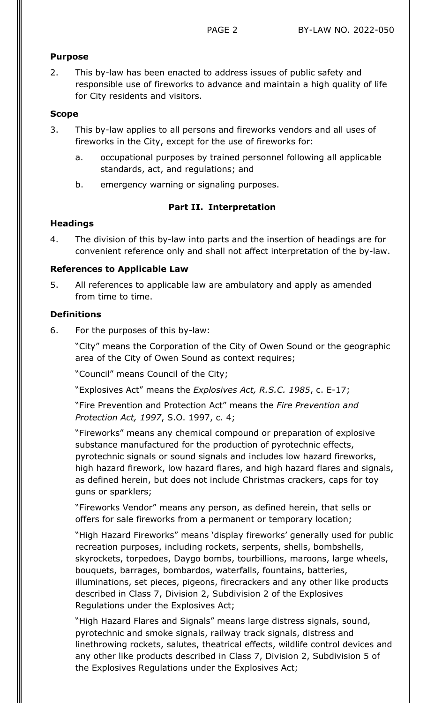#### **Purpose**

2. This by-law has been enacted to address issues of public safety and responsible use of fireworks to advance and maintain a high quality of life for City residents and visitors.

#### **Scope**

- 3. This by-law applies to all persons and fireworks vendors and all uses of fireworks in the City, except for the use of fireworks for:
	- a. occupational purposes by trained personnel following all applicable standards, act, and regulations; and
	- b. emergency warning or signaling purposes.

#### **Part II. Interpretation**

#### **Headings**

4. The division of this by-law into parts and the insertion of headings are for convenient reference only and shall not affect interpretation of the by-law.

#### **References to Applicable Law**

5. All references to applicable law are ambulatory and apply as amended from time to time.

#### **Definitions**

6. For the purposes of this by-law:

"City" means the Corporation of the City of Owen Sound or the geographic area of the City of Owen Sound as context requires;

"Council" means Council of the City;

"Explosives Act" means the *Explosives Act, R.S.C. 1985*, c. E-17;

"Fire Prevention and Protection Act" means the *Fire Prevention and Protection Act, 1997*, S.O. 1997, c. 4;

"Fireworks" means any chemical compound or preparation of explosive substance manufactured for the production of pyrotechnic effects, pyrotechnic signals or sound signals and includes low hazard fireworks, high hazard firework, low hazard flares, and high hazard flares and signals, as defined herein, but does not include Christmas crackers, caps for toy guns or sparklers;

"Fireworks Vendor" means any person, as defined herein, that sells or offers for sale fireworks from a permanent or temporary location;

"High Hazard Fireworks" means 'display fireworks' generally used for public recreation purposes, including rockets, serpents, shells, bombshells, skyrockets, torpedoes, Daygo bombs, tourbillions, maroons, large wheels, bouquets, barrages, bombardos, waterfalls, fountains, batteries, illuminations, set pieces, pigeons, firecrackers and any other like products described in Class 7, Division 2, Subdivision 2 of the Explosives Regulations under the Explosives Act;

"High Hazard Flares and Signals" means large distress signals, sound, pyrotechnic and smoke signals, railway track signals, distress and linethrowing rockets, salutes, theatrical effects, wildlife control devices and any other like products described in Class 7, Division 2, Subdivision 5 of the Explosives Regulations under the Explosives Act;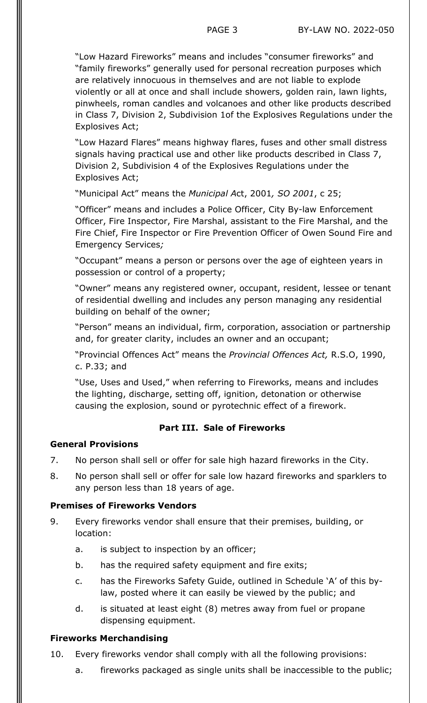"Low Hazard Fireworks" means and includes "consumer fireworks" and "family fireworks" generally used for personal recreation purposes which are relatively innocuous in themselves and are not liable to explode violently or all at once and shall include showers, golden rain, lawn lights, pinwheels, roman candles and volcanoes and other like products described in Class 7, Division 2, Subdivision 1of the Explosives Regulations under the Explosives Act;

"Low Hazard Flares" means highway flares, fuses and other small distress signals having practical use and other like products described in Class 7, Division 2, Subdivision 4 of the Explosives Regulations under the Explosives Act;

"Municipal Act" means the *Municipal A*ct, 2001*, SO 2001*, c 25;

"Officer" means and includes a Police Officer, City By-law Enforcement Officer, Fire Inspector, Fire Marshal, assistant to the Fire Marshal, and the Fire Chief, Fire Inspector or Fire Prevention Officer of Owen Sound Fire and Emergency Services*;*

"Occupant" means a person or persons over the age of eighteen years in possession or control of a property;

"Owner" means any registered owner, occupant, resident, lessee or tenant of residential dwelling and includes any person managing any residential building on behalf of the owner;

"Person" means an individual, firm, corporation, association or partnership and, for greater clarity, includes an owner and an occupant;

"Provincial Offences Act" means the *Provincial Offences Act,* R.S.O, 1990, c. P.33; and

"Use, Uses and Used," when referring to Fireworks, means and includes the lighting, discharge, setting off, ignition, detonation or otherwise causing the explosion, sound or pyrotechnic effect of a firework.

#### **Part III. Sale of Fireworks**

#### **General Provisions**

- 7. No person shall sell or offer for sale high hazard fireworks in the City.
- 8. No person shall sell or offer for sale low hazard fireworks and sparklers to any person less than 18 years of age.

#### **Premises of Fireworks Vendors**

- 9. Every fireworks vendor shall ensure that their premises, building, or location:
	- a. is subject to inspection by an officer;
	- b. has the required safety equipment and fire exits;
	- c. has the Fireworks Safety Guide, outlined in Schedule 'A' of this bylaw, posted where it can easily be viewed by the public; and
	- d. is situated at least eight (8) metres away from fuel or propane dispensing equipment.

#### **Fireworks Merchandising**

- 10. Every fireworks vendor shall comply with all the following provisions:
	- a. fireworks packaged as single units shall be inaccessible to the public;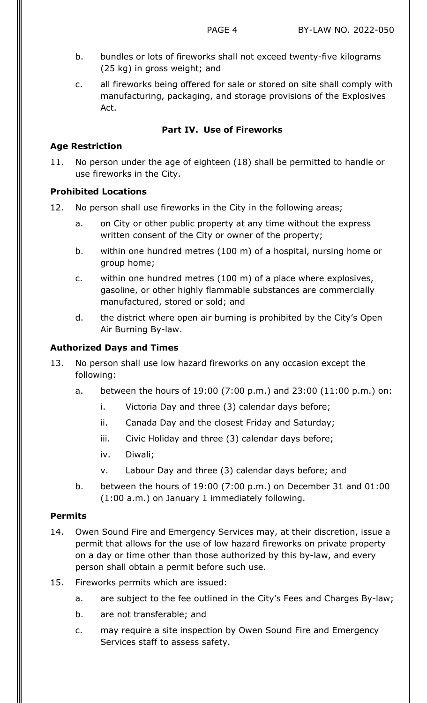- b. bundles or lots of fireworks shall not exceed twenty-five kilograms (25 kg) in gross weight; and
- c. all fireworks being offered for sale or stored on site shall comply with manufacturing, packaging, and storage provisions of the Explosives Act.

## **Part IV. Use of Fireworks**

## **Age Restriction**

11. No person under the age of eighteen (18) shall be permitted to handle or use fireworks in the City.

## **Prohibited Locations**

- 12. No person shall use fireworks in the City in the following areas;
	- a. on City or other public property at any time without the express written consent of the City or owner of the property;
	- b. within one hundred metres (100 m) of a hospital, nursing home or group home;
	- c. within one hundred metres (100 m) of a place where explosives, gasoline, or other highly flammable substances are commercially manufactured, stored or sold; and
	- d. the district where open air burning is prohibited by the City's Open Air Burning By-law.

## **Authorized Days and Times**

- 13. No person shall use low hazard fireworks on any occasion except the following:
	- a. between the hours of 19:00 (7:00 p.m.) and 23:00 (11:00 p.m.) on:
		- i. Victoria Day and three (3) calendar days before;
		- ii. Canada Day and the closest Friday and Saturday;
		- iii. Civic Holiday and three (3) calendar days before;
		- iv. Diwali;
		- v. Labour Day and three (3) calendar days before; and
	- b. between the hours of 19:00 (7:00 p.m.) on December 31 and 01:00 (1:00 a.m.) on January 1 immediately following.

### **Permits**

- 14. Owen Sound Fire and Emergency Services may, at their discretion, issue a permit that allows for the use of low hazard fireworks on private property on a day or time other than those authorized by this by-law, and every person shall obtain a permit before such use.
- 15. Fireworks permits which are issued:
	- a. are subject to the fee outlined in the City's Fees and Charges By-law;
	- b. are not transferable; and
	- c. may require a site inspection by Owen Sound Fire and Emergency Services staff to assess safety.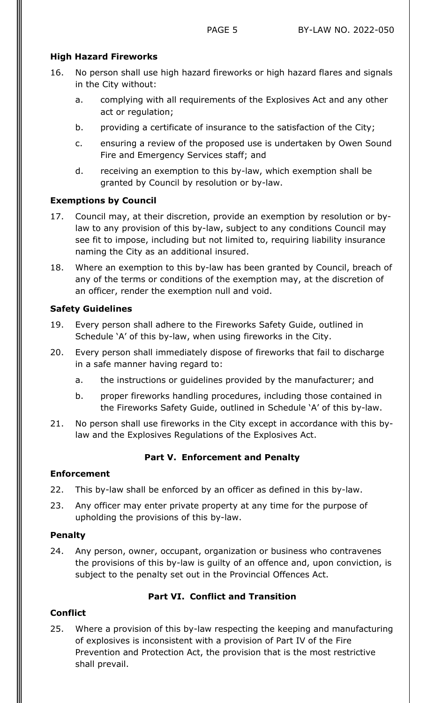### **High Hazard Fireworks**

- 16. No person shall use high hazard fireworks or high hazard flares and signals in the City without:
	- a. complying with all requirements of the Explosives Act and any other act or regulation;
	- b. providing a certificate of insurance to the satisfaction of the City;
	- c. ensuring a review of the proposed use is undertaken by Owen Sound Fire and Emergency Services staff; and
	- d. receiving an exemption to this by-law, which exemption shall be granted by Council by resolution or by-law.

## **Exemptions by Council**

- 17. Council may, at their discretion, provide an exemption by resolution or bylaw to any provision of this by-law, subject to any conditions Council may see fit to impose, including but not limited to, requiring liability insurance naming the City as an additional insured.
- 18. Where an exemption to this by-law has been granted by Council, breach of any of the terms or conditions of the exemption may, at the discretion of an officer, render the exemption null and void.

## **Safety Guidelines**

- 19. Every person shall adhere to the Fireworks Safety Guide, outlined in Schedule 'A' of this by-law, when using fireworks in the City.
- 20. Every person shall immediately dispose of fireworks that fail to discharge in a safe manner having regard to:
	- a. the instructions or guidelines provided by the manufacturer; and
	- b. proper fireworks handling procedures, including those contained in the Fireworks Safety Guide, outlined in Schedule 'A' of this by-law.
- 21. No person shall use fireworks in the City except in accordance with this bylaw and the Explosives Regulations of the Explosives Act.

## **Part V. Enforcement and Penalty**

### **Enforcement**

- 22. This by-law shall be enforced by an officer as defined in this by-law.
- 23. Any officer may enter private property at any time for the purpose of upholding the provisions of this by-law.

### **Penalty**

24. Any person, owner, occupant, organization or business who contravenes the provisions of this by-law is guilty of an offence and, upon conviction, is subject to the penalty set out in the Provincial Offences Act.

## **Part VI. Conflict and Transition**

## **Conflict**

25. Where a provision of this by-law respecting the keeping and manufacturing of explosives is inconsistent with a provision of Part IV of the Fire Prevention and Protection Act, the provision that is the most restrictive shall prevail.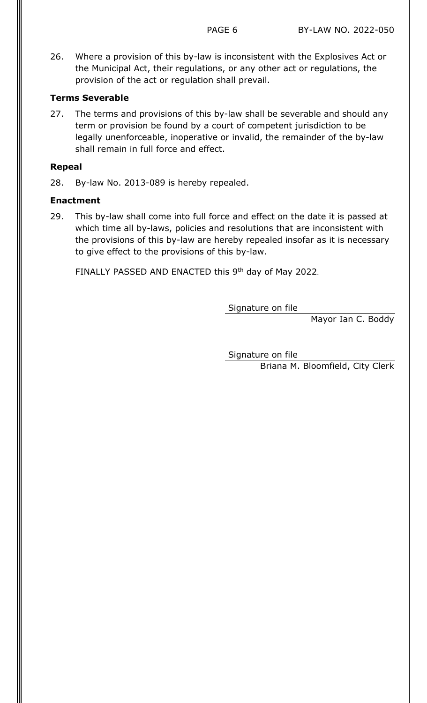26. Where a provision of this by-law is inconsistent with the Explosives Act or the Municipal Act, their regulations, or any other act or regulations, the provision of the act or regulation shall prevail.

#### **Terms Severable**

27. The terms and provisions of this by-law shall be severable and should any term or provision be found by a court of competent jurisdiction to be legally unenforceable, inoperative or invalid, the remainder of the by-law shall remain in full force and effect.

#### **Repeal**

28. By-law No. 2013-089 is hereby repealed.

#### **Enactment**

29. This by-law shall come into full force and effect on the date it is passed at which time all by-laws, policies and resolutions that are inconsistent with the provisions of this by-law are hereby repealed insofar as it is necessary to give effect to the provisions of this by-law.

FINALLY PASSED AND ENACTED this 9<sup>th</sup> day of May 2022.

Signature on file

Mayor Ian C. Boddy

Signature on file Briana M. Bloomfield, City Clerk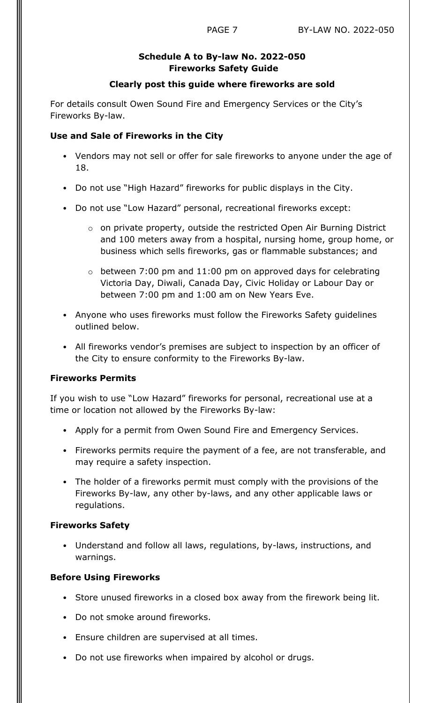## **Schedule A to By-law No. 2022-050 Fireworks Safety Guide**

#### **Clearly post this guide where fireworks are sold**

For details consult Owen Sound Fire and Emergency Services or the City's Fireworks By-law.

#### **Use and Sale of Fireworks in the City**

- Vendors may not sell or offer for sale fireworks to anyone under the age of 18.
- Do not use "High Hazard" fireworks for public displays in the City.
- Do not use "Low Hazard" personal, recreational fireworks except:
	- o on private property, outside the restricted Open Air Burning District and 100 meters away from a hospital, nursing home, group home, or business which sells fireworks, gas or flammable substances; and
	- $\circ$  between 7:00 pm and 11:00 pm on approved days for celebrating Victoria Day, Diwali, Canada Day, Civic Holiday or Labour Day or between 7:00 pm and 1:00 am on New Years Eve.
- Anyone who uses fireworks must follow the Fireworks Safety guidelines outlined below.
- All fireworks vendor's premises are subject to inspection by an officer of the City to ensure conformity to the Fireworks By-law.

### **Fireworks Permits**

If you wish to use "Low Hazard" fireworks for personal, recreational use at a time or location not allowed by the Fireworks By-law:

- Apply for a permit from Owen Sound Fire and Emergency Services.
- Fireworks permits require the payment of a fee, are not transferable, and may require a safety inspection.
- The holder of a fireworks permit must comply with the provisions of the Fireworks By-law, any other by-laws, and any other applicable laws or regulations.

#### **Fireworks Safety**

• Understand and follow all laws, regulations, by-laws, instructions, and warnings.

### **Before Using Fireworks**

- Store unused fireworks in a closed box away from the firework being lit.
- Do not smoke around fireworks.
- Ensure children are supervised at all times.
- Do not use fireworks when impaired by alcohol or drugs.